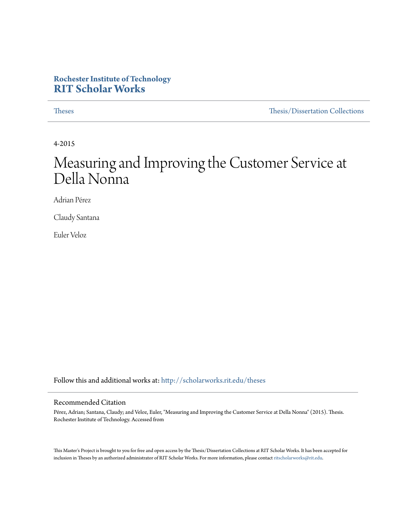# **Rochester Institute of Technology [RIT Scholar Works](http://scholarworks.rit.edu?utm_source=scholarworks.rit.edu%2Ftheses%2F8621&utm_medium=PDF&utm_campaign=PDFCoverPages)**

[Theses](http://scholarworks.rit.edu/theses?utm_source=scholarworks.rit.edu%2Ftheses%2F8621&utm_medium=PDF&utm_campaign=PDFCoverPages) [Thesis/Dissertation Collections](http://scholarworks.rit.edu/etd_collections?utm_source=scholarworks.rit.edu%2Ftheses%2F8621&utm_medium=PDF&utm_campaign=PDFCoverPages)

4-2015

# Measuring and Improving the Customer Service at Della Nonna

Adrian Pérez

Claudy Santana

Euler Veloz

Follow this and additional works at: [http://scholarworks.rit.edu/theses](http://scholarworks.rit.edu/theses?utm_source=scholarworks.rit.edu%2Ftheses%2F8621&utm_medium=PDF&utm_campaign=PDFCoverPages)

#### Recommended Citation

Pérez, Adrian; Santana, Claudy; and Veloz, Euler, "Measuring and Improving the Customer Service at Della Nonna" (2015). Thesis. Rochester Institute of Technology. Accessed from

This Master's Project is brought to you for free and open access by the Thesis/Dissertation Collections at RIT Scholar Works. It has been accepted for inclusion in Theses by an authorized administrator of RIT Scholar Works. For more information, please contact [ritscholarworks@rit.edu](mailto:ritscholarworks@rit.edu).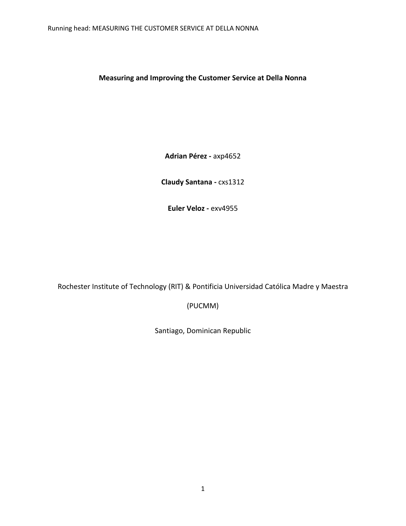**Measuring and Improving the Customer Service at Della Nonna**

**Adrian Pérez -** axp4652

**Claudy Santana -** cxs1312

**Euler Veloz -** exv4955

Rochester Institute of Technology (RIT) & Pontificia Universidad Católica Madre y Maestra

(PUCMM)

Santiago, Dominican Republic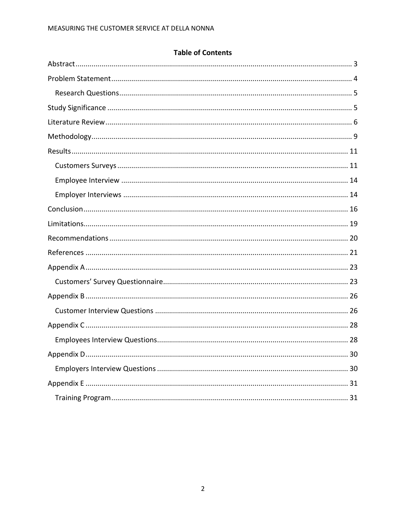# **Table of Contents**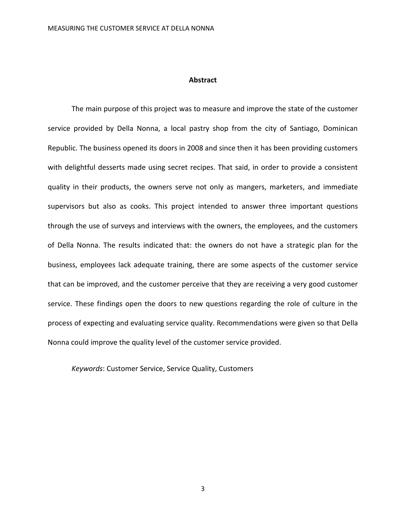#### **Abstract**

<span id="page-3-0"></span>The main purpose of this project was to measure and improve the state of the customer service provided by Della Nonna, a local pastry shop from the city of Santiago, Dominican Republic. The business opened its doors in 2008 and since then it has been providing customers with delightful desserts made using secret recipes. That said, in order to provide a consistent quality in their products, the owners serve not only as mangers, marketers, and immediate supervisors but also as cooks. This project intended to answer three important questions through the use of surveys and interviews with the owners, the employees, and the customers of Della Nonna. The results indicated that: the owners do not have a strategic plan for the business, employees lack adequate training, there are some aspects of the customer service that can be improved, and the customer perceive that they are receiving a very good customer service. These findings open the doors to new questions regarding the role of culture in the process of expecting and evaluating service quality. Recommendations were given so that Della Nonna could improve the quality level of the customer service provided.

*Keywords*: Customer Service, Service Quality, Customers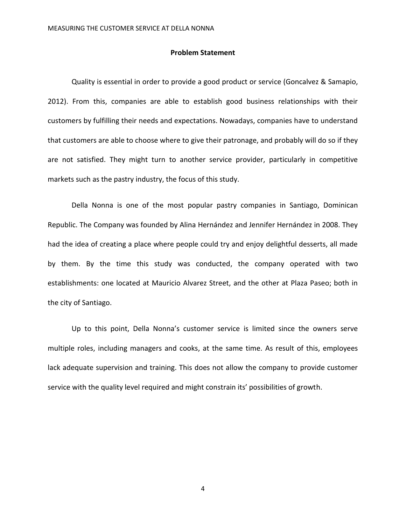#### **Problem Statement**

<span id="page-4-0"></span>Quality is essential in order to provide a good product or service (Goncalvez & Samapio, 2012). From this, companies are able to establish good business relationships with their customers by fulfilling their needs and expectations. Nowadays, companies have to understand that customers are able to choose where to give their patronage, and probably will do so if they are not satisfied. They might turn to another service provider, particularly in competitive markets such as the pastry industry, the focus of this study.

Della Nonna is one of the most popular pastry companies in Santiago, Dominican Republic. The Company was founded by Alina Hernández and Jennifer Hernández in 2008. They had the idea of creating a place where people could try and enjoy delightful desserts, all made by them. By the time this study was conducted, the company operated with two establishments: one located at Mauricio Alvarez Street, and the other at Plaza Paseo; both in the city of Santiago.

Up to this point, Della Nonna's customer service is limited since the owners serve multiple roles, including managers and cooks, at the same time. As result of this, employees lack adequate supervision and training. This does not allow the company to provide customer service with the quality level required and might constrain its' possibilities of growth.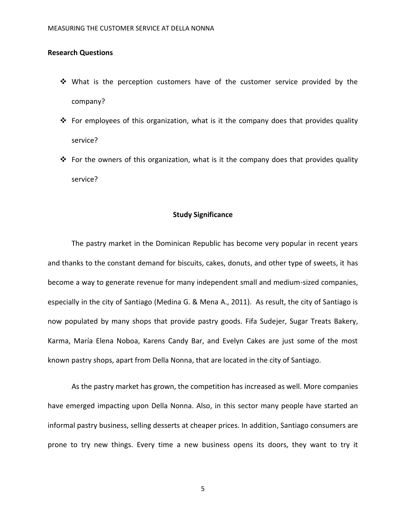### <span id="page-5-0"></span>**Research Questions**

- What is the perception customers have of the customer service provided by the company?
- For employees of this organization, what is it the company does that provides quality service?
- $\cdot \cdot$  For the owners of this organization, what is it the company does that provides quality service?

#### **Study Significance**

<span id="page-5-1"></span>The pastry market in the Dominican Republic has become very popular in recent years and thanks to the constant demand for biscuits, cakes, donuts, and other type of sweets, it has become a way to generate revenue for many independent small and medium-sized companies, especially in the city of Santiago (Medina G. & Mena A., 2011). As result, the city of Santiago is now populated by many shops that provide pastry goods. Fifa Sudejer, Sugar Treats Bakery, Karma, María Elena Noboa, Karens Candy Bar, and Evelyn Cakes are just some of the most known pastry shops, apart from Della Nonna, that are located in the city of Santiago.

As the pastry market has grown, the competition has increased as well. More companies have emerged impacting upon Della Nonna. Also, in this sector many people have started an informal pastry business, selling desserts at cheaper prices. In addition, Santiago consumers are prone to try new things. Every time a new business opens its doors, they want to try it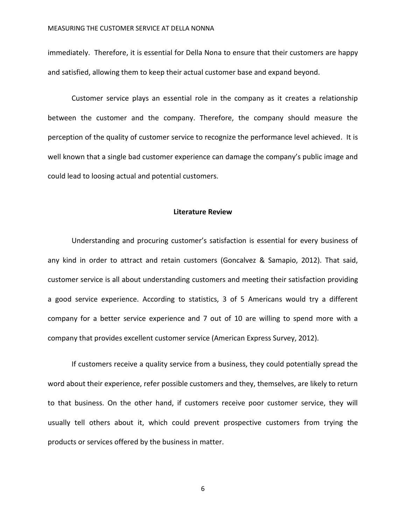immediately. Therefore, it is essential for Della Nona to ensure that their customers are happy and satisfied, allowing them to keep their actual customer base and expand beyond.

Customer service plays an essential role in the company as it creates a relationship between the customer and the company. Therefore, the company should measure the perception of the quality of customer service to recognize the performance level achieved. It is well known that a single bad customer experience can damage the company's public image and could lead to loosing actual and potential customers.

#### **Literature Review**

<span id="page-6-0"></span>Understanding and procuring customer's satisfaction is essential for every business of any kind in order to attract and retain customers (Goncalvez & Samapio, 2012). That said, customer service is all about understanding customers and meeting their satisfaction providing a good service experience. According to statistics, 3 of 5 Americans would try a different company for a better service experience and 7 out of 10 are willing to spend more with a company that provides excellent customer service (American Express Survey, 2012).

If customers receive a quality service from a business, they could potentially spread the word about their experience, refer possible customers and they, themselves, are likely to return to that business. On the other hand, if customers receive poor customer service, they will usually tell others about it, which could prevent prospective customers from trying the products or services offered by the business in matter.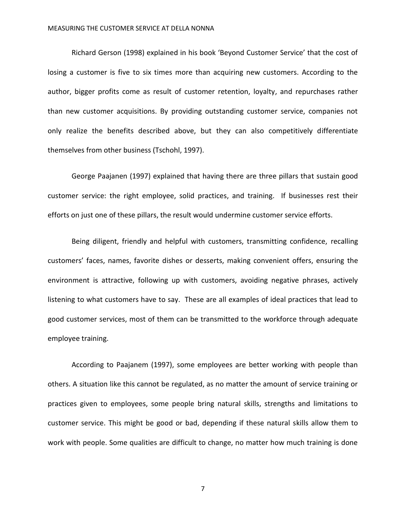Richard Gerson (1998) explained in his book 'Beyond Customer Service' that the cost of losing a customer is five to six times more than acquiring new customers. According to the author, bigger profits come as result of customer retention, loyalty, and repurchases rather than new customer acquisitions. By providing outstanding customer service, companies not only realize the benefits described above, but they can also competitively differentiate themselves from other business (Tschohl, 1997).

George Paajanen (1997) explained that having there are three pillars that sustain good customer service: the right employee, solid practices, and training. If businesses rest their efforts on just one of these pillars, the result would undermine customer service efforts.

Being diligent, friendly and helpful with customers, transmitting confidence, recalling customers' faces, names, favorite dishes or desserts, making convenient offers, ensuring the environment is attractive, following up with customers, avoiding negative phrases, actively listening to what customers have to say. These are all examples of ideal practices that lead to good customer services, most of them can be transmitted to the workforce through adequate employee training.

According to Paajanem (1997), some employees are better working with people than others. A situation like this cannot be regulated, as no matter the amount of service training or practices given to employees, some people bring natural skills, strengths and limitations to customer service. This might be good or bad, depending if these natural skills allow them to work with people. Some qualities are difficult to change, no matter how much training is done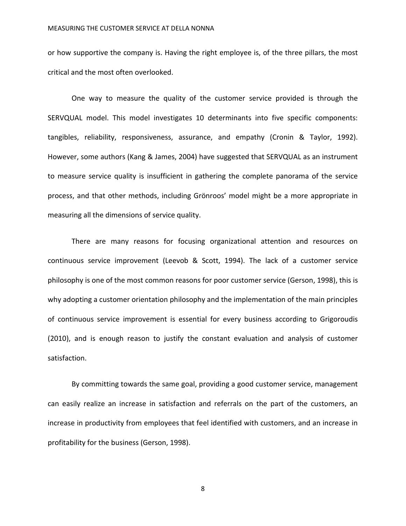or how supportive the company is. Having the right employee is, of the three pillars, the most critical and the most often overlooked.

One way to measure the quality of the customer service provided is through the SERVQUAL model. This model investigates 10 determinants into five specific components: tangibles, reliability, responsiveness, assurance, and empathy (Cronin & Taylor, 1992). However, some authors (Kang & James, 2004) have suggested that SERVQUAL as an instrument to measure service quality is insufficient in gathering the complete panorama of the service process, and that other methods, including Grönroos' model might be a more appropriate in measuring all the dimensions of service quality.

There are many reasons for focusing organizational attention and resources on continuous service improvement (Leevob & Scott, 1994). The lack of a customer service philosophy is one of the most common reasons for poor customer service (Gerson, 1998), this is why adopting a customer orientation philosophy and the implementation of the main principles of continuous service improvement is essential for every business according to Grigoroudis (2010), and is enough reason to justify the constant evaluation and analysis of customer satisfaction.

By committing towards the same goal, providing a good customer service, management can easily realize an increase in satisfaction and referrals on the part of the customers, an increase in productivity from employees that feel identified with customers, and an increase in profitability for the business (Gerson, 1998).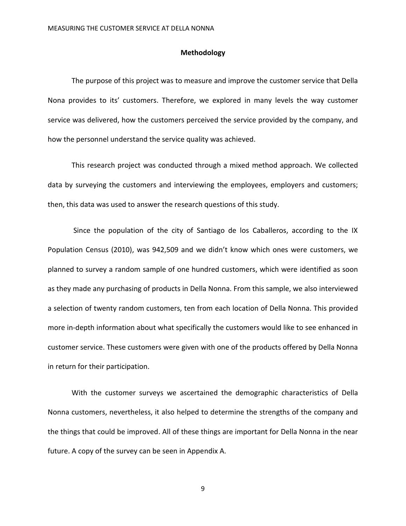#### **Methodology**

<span id="page-9-0"></span>The purpose of this project was to measure and improve the customer service that Della Nona provides to its' customers. Therefore, we explored in many levels the way customer service was delivered, how the customers perceived the service provided by the company, and how the personnel understand the service quality was achieved.

This research project was conducted through a mixed method approach. We collected data by surveying the customers and interviewing the employees, employers and customers; then, this data was used to answer the research questions of this study.

Since the population of the city of Santiago de los Caballeros, according to the IX Population Census (2010), was 942,509 and we didn't know which ones were customers, we planned to survey a random sample of one hundred customers, which were identified as soon as they made any purchasing of products in Della Nonna. From this sample, we also interviewed a selection of twenty random customers, ten from each location of Della Nonna. This provided more in-depth information about what specifically the customers would like to see enhanced in customer service. These customers were given with one of the products offered by Della Nonna in return for their participation.

With the customer surveys we ascertained the demographic characteristics of Della Nonna customers, nevertheless, it also helped to determine the strengths of the company and the things that could be improved. All of these things are important for Della Nonna in the near future. A copy of the survey can be seen in Appendix A.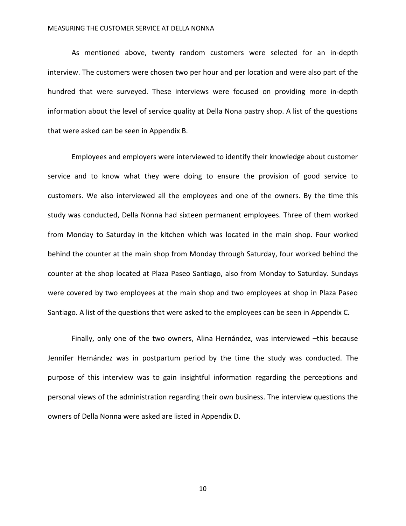#### MEASURING THE CUSTOMER SERVICE AT DELLA NONNA

As mentioned above, twenty random customers were selected for an in-depth interview. The customers were chosen two per hour and per location and were also part of the hundred that were surveyed. These interviews were focused on providing more in-depth information about the level of service quality at Della Nona pastry shop. A list of the questions that were asked can be seen in Appendix B.

Employees and employers were interviewed to identify their knowledge about customer service and to know what they were doing to ensure the provision of good service to customers. We also interviewed all the employees and one of the owners. By the time this study was conducted, Della Nonna had sixteen permanent employees. Three of them worked from Monday to Saturday in the kitchen which was located in the main shop. Four worked behind the counter at the main shop from Monday through Saturday, four worked behind the counter at the shop located at Plaza Paseo Santiago, also from Monday to Saturday. Sundays were covered by two employees at the main shop and two employees at shop in Plaza Paseo Santiago. A list of the questions that were asked to the employees can be seen in Appendix C.

Finally, only one of the two owners, Alina Hernández, was interviewed –this because Jennifer Hernández was in postpartum period by the time the study was conducted. The purpose of this interview was to gain insightful information regarding the perceptions and personal views of the administration regarding their own business. The interview questions the owners of Della Nonna were asked are listed in Appendix D.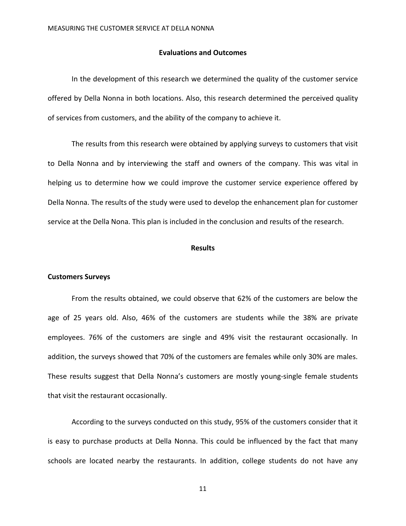#### **Evaluations and Outcomes**

In the development of this research we determined the quality of the customer service offered by Della Nonna in both locations. Also, this research determined the perceived quality of services from customers, and the ability of the company to achieve it.

The results from this research were obtained by applying surveys to customers that visit to Della Nonna and by interviewing the staff and owners of the company. This was vital in helping us to determine how we could improve the customer service experience offered by Della Nonna. The results of the study were used to develop the enhancement plan for customer service at the Della Nona. This plan is included in the conclusion and results of the research.

#### **Results**

#### <span id="page-11-1"></span><span id="page-11-0"></span>**Customers Surveys**

From the results obtained, we could observe that 62% of the customers are below the age of 25 years old. Also, 46% of the customers are students while the 38% are private employees. 76% of the customers are single and 49% visit the restaurant occasionally. In addition, the surveys showed that 70% of the customers are females while only 30% are males. These results suggest that Della Nonna's customers are mostly young-single female students that visit the restaurant occasionally.

According to the surveys conducted on this study, 95% of the customers consider that it is easy to purchase products at Della Nonna. This could be influenced by the fact that many schools are located nearby the restaurants. In addition, college students do not have any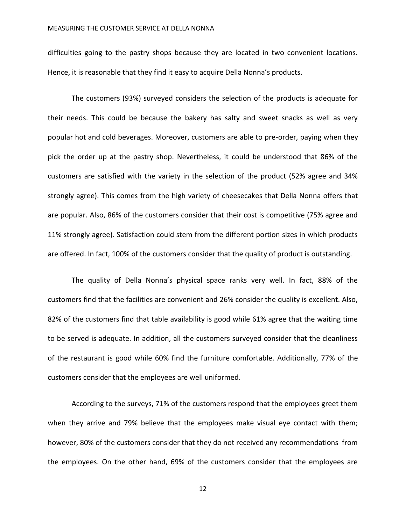#### MEASURING THE CUSTOMER SERVICE AT DELLA NONNA

difficulties going to the pastry shops because they are located in two convenient locations. Hence, it is reasonable that they find it easy to acquire Della Nonna's products.

The customers (93%) surveyed considers the selection of the products is adequate for their needs. This could be because the bakery has salty and sweet snacks as well as very popular hot and cold beverages. Moreover, customers are able to pre-order, paying when they pick the order up at the pastry shop. Nevertheless, it could be understood that 86% of the customers are satisfied with the variety in the selection of the product (52% agree and 34% strongly agree). This comes from the high variety of cheesecakes that Della Nonna offers that are popular. Also, 86% of the customers consider that their cost is competitive (75% agree and 11% strongly agree). Satisfaction could stem from the different portion sizes in which products are offered. In fact, 100% of the customers consider that the quality of product is outstanding.

The quality of Della Nonna's physical space ranks very well. In fact, 88% of the customers find that the facilities are convenient and 26% consider the quality is excellent. Also, 82% of the customers find that table availability is good while 61% agree that the waiting time to be served is adequate. In addition, all the customers surveyed consider that the cleanliness of the restaurant is good while 60% find the furniture comfortable. Additionally, 77% of the customers consider that the employees are well uniformed.

According to the surveys, 71% of the customers respond that the employees greet them when they arrive and 79% believe that the employees make visual eye contact with them; however, 80% of the customers consider that they do not received any recommendations from the employees. On the other hand, 69% of the customers consider that the employees are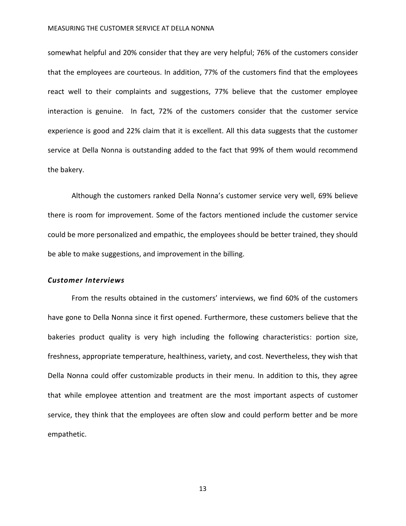#### MEASURING THE CUSTOMER SERVICE AT DELLA NONNA

somewhat helpful and 20% consider that they are very helpful; 76% of the customers consider that the employees are courteous. In addition, 77% of the customers find that the employees react well to their complaints and suggestions, 77% believe that the customer employee interaction is genuine. In fact, 72% of the customers consider that the customer service experience is good and 22% claim that it is excellent. All this data suggests that the customer service at Della Nonna is outstanding added to the fact that 99% of them would recommend the bakery.

Although the customers ranked Della Nonna's customer service very well, 69% believe there is room for improvement. Some of the factors mentioned include the customer service could be more personalized and empathic, the employees should be better trained, they should be able to make suggestions, and improvement in the billing.

#### *Customer Interviews*

From the results obtained in the customers' interviews, we find 60% of the customers have gone to Della Nonna since it first opened. Furthermore, these customers believe that the bakeries product quality is very high including the following characteristics: portion size, freshness, appropriate temperature, healthiness, variety, and cost. Nevertheless, they wish that Della Nonna could offer customizable products in their menu. In addition to this, they agree that while employee attention and treatment are the most important aspects of customer service, they think that the employees are often slow and could perform better and be more empathetic.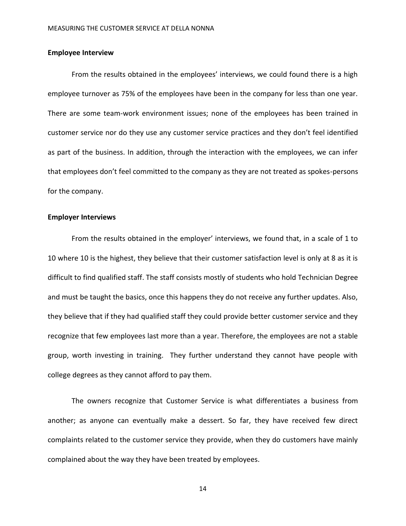### <span id="page-14-0"></span>**Employee Interview**

From the results obtained in the employees' interviews, we could found there is a high employee turnover as 75% of the employees have been in the company for less than one year. There are some team-work environment issues; none of the employees has been trained in customer service nor do they use any customer service practices and they don't feel identified as part of the business. In addition, through the interaction with the employees, we can infer that employees don't feel committed to the company as they are not treated as spokes-persons for the company.

# <span id="page-14-1"></span>**Employer Interviews**

From the results obtained in the employer' interviews, we found that, in a scale of 1 to 10 where 10 is the highest, they believe that their customer satisfaction level is only at 8 as it is difficult to find qualified staff. The staff consists mostly of students who hold Technician Degree and must be taught the basics, once this happens they do not receive any further updates. Also, they believe that if they had qualified staff they could provide better customer service and they recognize that few employees last more than a year. Therefore, the employees are not a stable group, worth investing in training. They further understand they cannot have people with college degrees as they cannot afford to pay them.

The owners recognize that Customer Service is what differentiates a business from another; as anyone can eventually make a dessert. So far, they have received few direct complaints related to the customer service they provide, when they do customers have mainly complained about the way they have been treated by employees.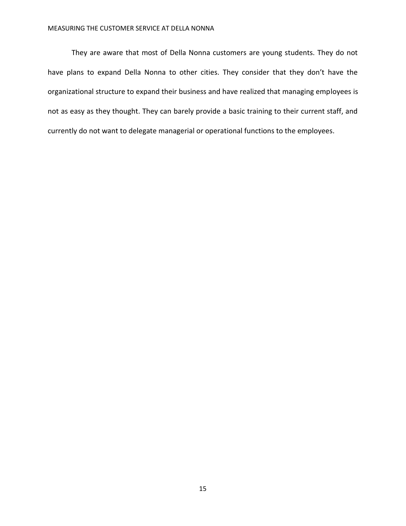#### MEASURING THE CUSTOMER SERVICE AT DELLA NONNA

They are aware that most of Della Nonna customers are young students. They do not have plans to expand Della Nonna to other cities. They consider that they don't have the organizational structure to expand their business and have realized that managing employees is not as easy as they thought. They can barely provide a basic training to their current staff, and currently do not want to delegate managerial or operational functions to the employees.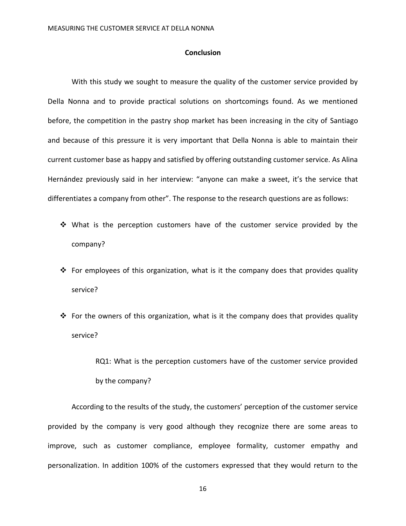#### **Conclusion**

<span id="page-16-0"></span>With this study we sought to measure the quality of the customer service provided by Della Nonna and to provide practical solutions on shortcomings found. As we mentioned before, the competition in the pastry shop market has been increasing in the city of Santiago and because of this pressure it is very important that Della Nonna is able to maintain their current customer base as happy and satisfied by offering outstanding customer service. As Alina Hernández previously said in her interview: "anyone can make a sweet, it's the service that differentiates a company from other". The response to the research questions are as follows:

- What is the perception customers have of the customer service provided by the company?
- $\cdot \cdot$  For employees of this organization, what is it the company does that provides quality service?
- For the owners of this organization, what is it the company does that provides quality service?

RQ1: What is the perception customers have of the customer service provided by the company?

According to the results of the study, the customers' perception of the customer service provided by the company is very good although they recognize there are some areas to improve, such as customer compliance, employee formality, customer empathy and personalization. In addition 100% of the customers expressed that they would return to the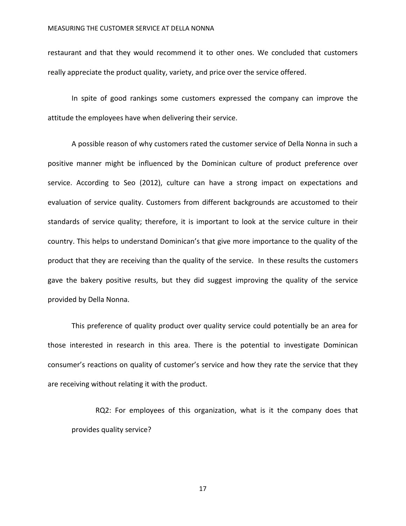restaurant and that they would recommend it to other ones. We concluded that customers really appreciate the product quality, variety, and price over the service offered.

In spite of good rankings some customers expressed the company can improve the attitude the employees have when delivering their service.

A possible reason of why customers rated the customer service of Della Nonna in such a positive manner might be influenced by the Dominican culture of product preference over service. According to Seo (2012), culture can have a strong impact on expectations and evaluation of service quality. Customers from different backgrounds are accustomed to their standards of service quality; therefore, it is important to look at the service culture in their country. This helps to understand Dominican's that give more importance to the quality of the product that they are receiving than the quality of the service. In these results the customers gave the bakery positive results, but they did suggest improving the quality of the service provided by Della Nonna.

This preference of quality product over quality service could potentially be an area for those interested in research in this area. There is the potential to investigate Dominican consumer's reactions on quality of customer's service and how they rate the service that they are receiving without relating it with the product.

RQ2: For employees of this organization, what is it the company does that provides quality service?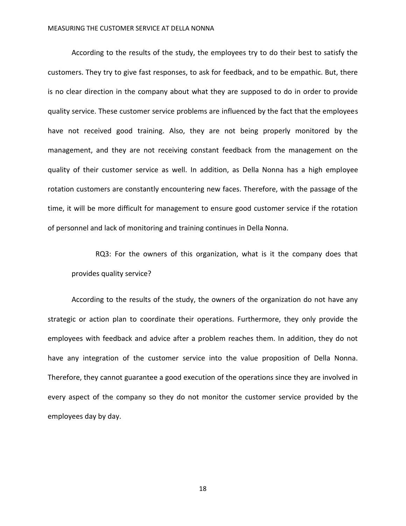#### MEASURING THE CUSTOMER SERVICE AT DELLA NONNA

According to the results of the study, the employees try to do their best to satisfy the customers. They try to give fast responses, to ask for feedback, and to be empathic. But, there is no clear direction in the company about what they are supposed to do in order to provide quality service. These customer service problems are influenced by the fact that the employees have not received good training. Also, they are not being properly monitored by the management, and they are not receiving constant feedback from the management on the quality of their customer service as well. In addition, as Della Nonna has a high employee rotation customers are constantly encountering new faces. Therefore, with the passage of the time, it will be more difficult for management to ensure good customer service if the rotation of personnel and lack of monitoring and training continues in Della Nonna.

RQ3: For the owners of this organization, what is it the company does that provides quality service?

According to the results of the study, the owners of the organization do not have any strategic or action plan to coordinate their operations. Furthermore, they only provide the employees with feedback and advice after a problem reaches them. In addition, they do not have any integration of the customer service into the value proposition of Della Nonna. Therefore, they cannot guarantee a good execution of the operations since they are involved in every aspect of the company so they do not monitor the customer service provided by the employees day by day.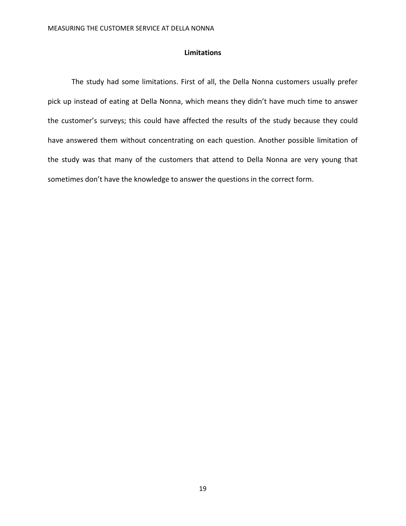# **Limitations**

<span id="page-19-0"></span>The study had some limitations. First of all, the Della Nonna customers usually prefer pick up instead of eating at Della Nonna, which means they didn't have much time to answer the customer's surveys; this could have affected the results of the study because they could have answered them without concentrating on each question. Another possible limitation of the study was that many of the customers that attend to Della Nonna are very young that sometimes don't have the knowledge to answer the questions in the correct form.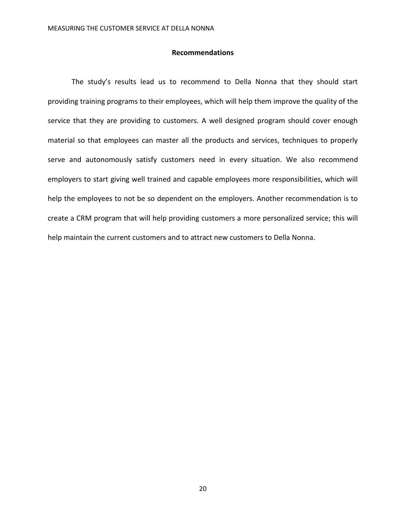#### **Recommendations**

<span id="page-20-0"></span>The study's results lead us to recommend to Della Nonna that they should start providing training programs to their employees, which will help them improve the quality of the service that they are providing to customers. A well designed program should cover enough material so that employees can master all the products and services, techniques to properly serve and autonomously satisfy customers need in every situation. We also recommend employers to start giving well trained and capable employees more responsibilities, which will help the employees to not be so dependent on the employers. Another recommendation is to create a CRM program that will help providing customers a more personalized service; this will help maintain the current customers and to attract new customers to Della Nonna.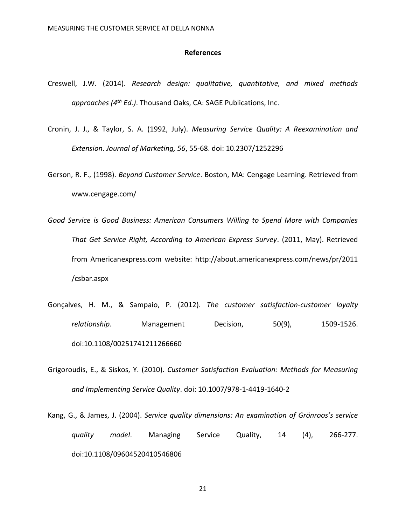#### **References**

- <span id="page-21-0"></span>Creswell, J.W. (2014). *Research design: qualitative, quantitative, and mixed methods approaches (4th Ed.)*. Thousand Oaks, CA: SAGE Publications, Inc.
- Cronin, J. J., & Taylor, S. A. (1992, July). *Measuring Service Quality: A Reexamination and Extension*. *Journal of Marketing, 56*, 55-68. doi: 10.2307/1252296
- Gerson, R. F., (1998). *Beyond Customer Service*. Boston, MA: Cengage Learning. Retrieved from www.cengage.com/
- *Good Service is Good Business: American Consumers Willing to Spend More with Companies That Get Service Right, According to American Express Survey*. (2011, May). Retrieved from Americanexpress.com website: http://about.americanexpress.com/news/pr/2011 /csbar.aspx
- Gonçalves, H. M., & Sampaio, P. (2012). *The customer satisfaction-customer loyalty relationship*. Management Decision, 50(9), 1509-1526. doi:10.1108/00251741211266660
- Grigoroudis, E., & Siskos, Y. (2010). *Customer Satisfaction Evaluation: Methods for Measuring and Implementing Service Quality*. doi: 10.1007/978-1-4419-1640-2
- Kang, G., & James, J. (2004). *Service quality dimensions: An examination of Grönroos's service quality model*. Managing Service Quality, 14 (4), 266-277. doi:10.1108/09604520410546806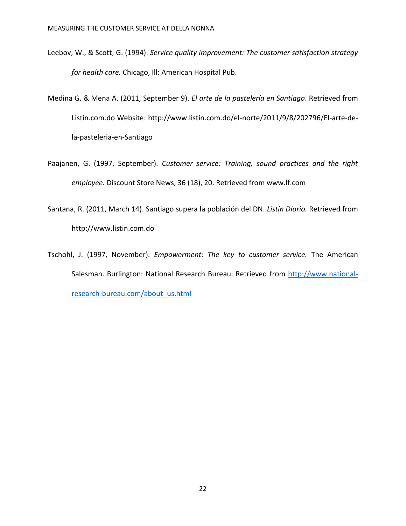- Leebov, W., & Scott, G. (1994). *Service quality improvement: The customer satisfaction strategy for health care.* Chicago, Ill: American Hospital Pub.
- Medina G. & Mena A. (2011, September 9). *El arte de la pastelería en Santiago*. Retrieved from Listin.com.do Website: http://www.listin.com.do/el-norte/2011/9/8/202796/El-arte-dela-pasteleria-en-Santiago
- Paajanen, G. (1997, September). *Customer service: Training, sound practices and the right employee.* Discount Store News, 36 (18), 20. Retrieved from www.lf.com
- Santana, R. (2011, March 14). Santiago supera la población del DN. *Listín Diario.* Retrieved from http://www.listin.com.do
- Tschohl, J. (1997, November). *Empowerment: The key to customer service.* The American Salesman. Burlington: National Research Bureau. Retrieved from [http://www.national](http://www.national-research-bureau.com/about_us.html)[research-bureau.com/about\\_us.html](http://www.national-research-bureau.com/about_us.html)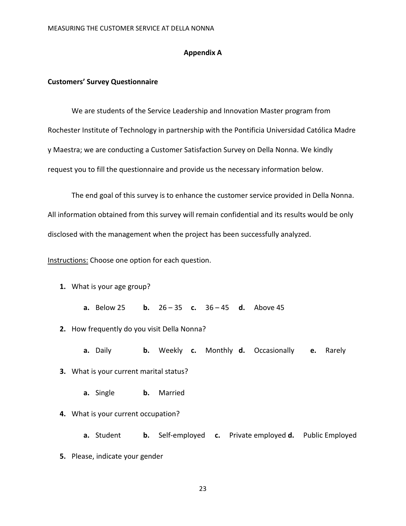#### **Appendix A**

#### <span id="page-23-1"></span><span id="page-23-0"></span>**Customers' Survey Questionnaire**

We are students of the Service Leadership and Innovation Master program from Rochester Institute of Technology in partnership with the Pontificia Universidad Católica Madre y Maestra; we are conducting a Customer Satisfaction Survey on Della Nonna. We kindly request you to fill the questionnaire and provide us the necessary information below.

The end goal of this survey is to enhance the customer service provided in Della Nonna. All information obtained from this survey will remain confidential and its results would be only disclosed with the management when the project has been successfully analyzed.

Instructions: Choose one option for each question.

- **1.** What is your age group?
	- **a.** Below 25 **b.** 26 35 **c.** 36 45 **d.** Above 45
- **2.** How frequently do you visit Della Nonna?
	- **a.** Daily **b.** Weekly **c.** Monthly **d.** Occasionally **e.** Rarely
- **3.** What is your current marital status?
	- **a.** Single **b.** Married
- **4.** What is your current occupation?
	- **a.** Student **b.** Self-employed **c.** Private employed **d.** Public Employed
- **5.** Please, indicate your gender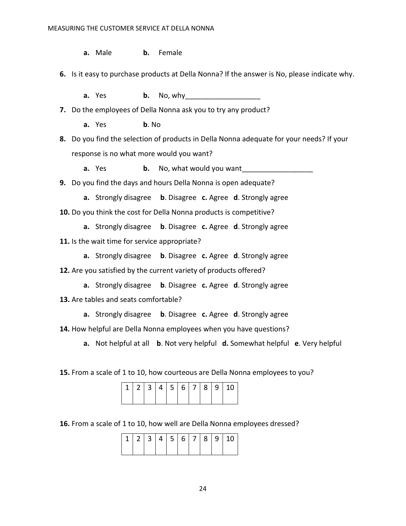**a.** Male **b.** Female

**6.** Is it easy to purchase products at Della Nonna? If the answer is No, please indicate why.

**a.** Yes **b.** No, why

**7.** Do the employees of Della Nonna ask you to try any product?

**a.** Yes **b**. No

**8.** Do you find the selection of products in Della Nonna adequate for your needs? If your response is no what more would you want?

**a.** Yes **b.** No, what would you want

**9.** Do you find the days and hours Della Nonna is open adequate?

**a.** Strongly disagree **b**. Disagree **c.** Agree **d**. Strongly agree

**10.** Do you think the cost for Della Nonna products is competitive?

**a.** Strongly disagree **b**. Disagree **c.** Agree **d**. Strongly agree

**11.** Is the wait time for service appropriate?

**a.** Strongly disagree **b**. Disagree **c.** Agree **d**. Strongly agree

**12.** Are you satisfied by the current variety of products offered?

**a.** Strongly disagree **b**. Disagree **c.** Agree **d**. Strongly agree

**13.** Are tables and seats comfortable?

**a.** Strongly disagree **b**. Disagree **c.** Agree **d**. Strongly agree

**14.** How helpful are Della Nonna employees when you have questions?

**a.** Not helpful at all **b**. Not very helpful **d.** Somewhat helpful **e**. Very helpful

**15.** From a scale of 1 to 10, how courteous are Della Nonna employees to you?

|  |  |  |  | 12 3 4 5 6 7 8 9 10 |
|--|--|--|--|---------------------|
|  |  |  |  |                     |

**16.** From a scale of 1 to 10, how well are Della Nonna employees dressed?

| 1 2 3 4 5 6 7 8 9 |  |  |  |  |  |  |  |
|-------------------|--|--|--|--|--|--|--|
|-------------------|--|--|--|--|--|--|--|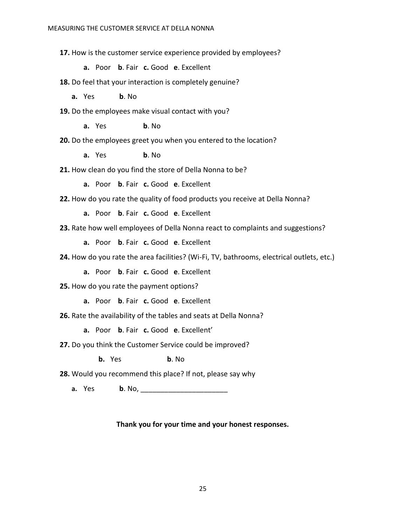**17.** How is the customer service experience provided by employees?

**a.** Poor **b**. Fair **c.** Good **e**. Excellent

**18.** Do feel that your interaction is completely genuine?

**a.** Yes **b**. No

**19.** Do the employees make visual contact with you?

**a.** Yes **b**. No

**20.** Do the employees greet you when you entered to the location?

**a.** Yes **b**. No

**21.** How clean do you find the store of Della Nonna to be?

**a.** Poor **b**. Fair **c.** Good **e**. Excellent

**22.** How do you rate the quality of food products you receive at Della Nonna?

**a.** Poor **b**. Fair **c.** Good **e**. Excellent

**23.** Rate how well employees of Della Nonna react to complaints and suggestions?

**a.** Poor **b**. Fair **c.** Good **e**. Excellent

**24.** How do you rate the area facilities? (Wi-Fi, TV, bathrooms, electrical outlets, etc.)

**a.** Poor **b**. Fair **c.** Good **e**. Excellent

**25.** How do you rate the payment options?

**a.** Poor **b**. Fair **c.** Good **e**. Excellent

**26.** Rate the availability of the tables and seats at Della Nonna?

**a.** Poor **b**. Fair **c.** Good **e**. Excellent'

**27.** Do you think the Customer Service could be improved?

**b.** Yes **b**. No

**28.** Would you recommend this place? If not, please say why

**a.** Yes **b**. No, <u>\_\_\_\_\_\_\_\_\_\_\_\_\_\_\_\_\_\_\_\_\_</u>\_\_\_\_\_

# **Thank you for your time and your honest responses.**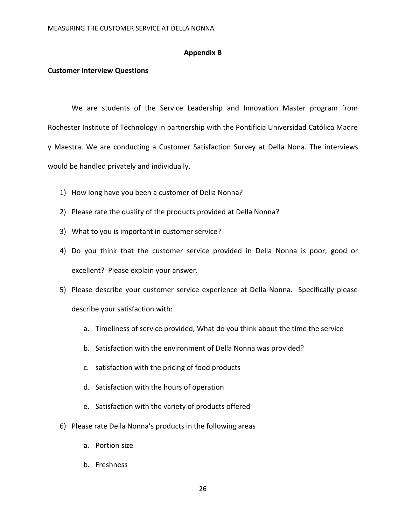#### **Appendix B**

#### <span id="page-26-1"></span><span id="page-26-0"></span>**Customer Interview Questions**

We are students of the Service Leadership and Innovation Master program from Rochester Institute of Technology in partnership with the Pontificia Universidad Católica Madre y Maestra. We are conducting a Customer Satisfaction Survey at Della Nona. The interviews would be handled privately and individually.

- 1) How long have you been a customer of Della Nonna?
- 2) Please rate the quality of the products provided at Della Nonna?
- 3) What to you is important in customer service?
- 4) Do you think that the customer service provided in Della Nonna is poor, good or excellent? Please explain your answer.
- 5) Please describe your customer service experience at Della Nonna. Specifically please describe your satisfaction with:
	- a. Timeliness of service provided, What do you think about the time the service
	- b. Satisfaction with the environment of Della Nonna was provided?
	- c. satisfaction with the pricing of food products
	- d. Satisfaction with the hours of operation
	- e. Satisfaction with the variety of products offered
- 6) Please rate Della Nonna's products in the following areas
	- a. Portion size
	- b. Freshness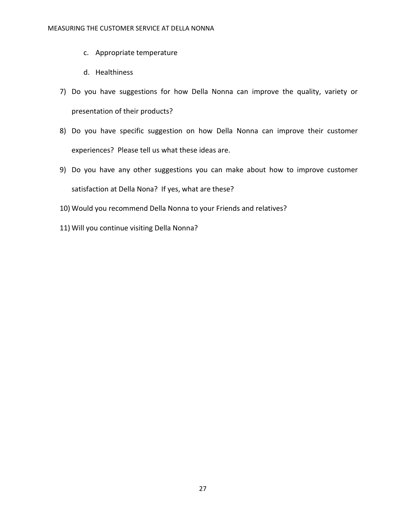- c. Appropriate temperature
- d. Healthiness
- 7) Do you have suggestions for how Della Nonna can improve the quality, variety or presentation of their products?
- 8) Do you have specific suggestion on how Della Nonna can improve their customer experiences? Please tell us what these ideas are.
- 9) Do you have any other suggestions you can make about how to improve customer satisfaction at Della Nona? If yes, what are these?
- 10) Would you recommend Della Nonna to your Friends and relatives?
- 11) Will you continue visiting Della Nonna?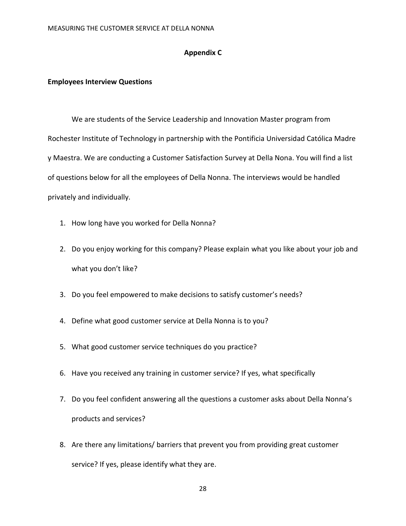# **Appendix C**

#### <span id="page-28-1"></span><span id="page-28-0"></span>**Employees Interview Questions**

We are students of the Service Leadership and Innovation Master program from Rochester Institute of Technology in partnership with the Pontificia Universidad Católica Madre y Maestra. We are conducting a Customer Satisfaction Survey at Della Nona. You will find a list of questions below for all the employees of Della Nonna. The interviews would be handled privately and individually.

- 1. How long have you worked for Della Nonna?
- 2. Do you enjoy working for this company? Please explain what you like about your job and what you don't like?
- 3. Do you feel empowered to make decisions to satisfy customer's needs?
- 4. Define what good customer service at Della Nonna is to you?
- 5. What good customer service techniques do you practice?
- 6. Have you received any training in customer service? If yes, what specifically
- 7. Do you feel confident answering all the questions a customer asks about Della Nonna's products and services?
- 8. Are there any limitations/ barriers that prevent you from providing great customer service? If yes, please identify what they are.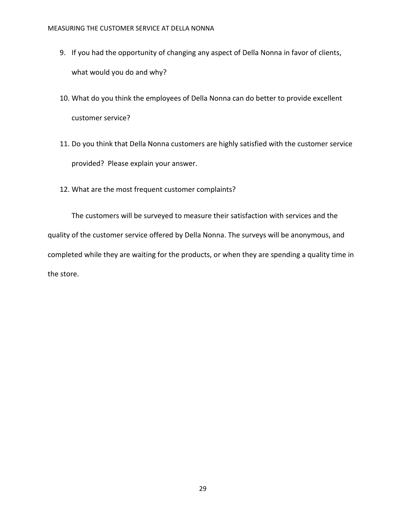- 9. If you had the opportunity of changing any aspect of Della Nonna in favor of clients, what would you do and why?
- 10. What do you think the employees of Della Nonna can do better to provide excellent customer service?
- 11. Do you think that Della Nonna customers are highly satisfied with the customer service provided? Please explain your answer.
- 12. What are the most frequent customer complaints?

The customers will be surveyed to measure their satisfaction with services and the quality of the customer service offered by Della Nonna. The surveys will be anonymous, and completed while they are waiting for the products, or when they are spending a quality time in the store.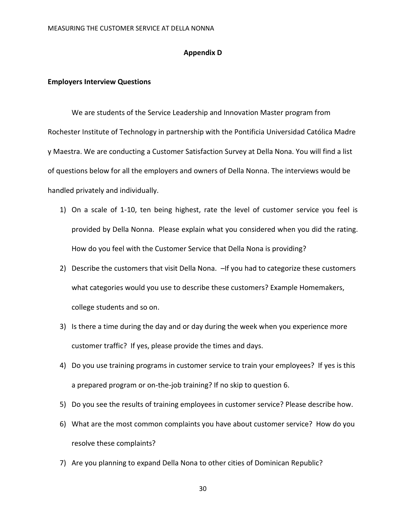#### **Appendix D**

#### <span id="page-30-1"></span><span id="page-30-0"></span>**Employers Interview Questions**

We are students of the Service Leadership and Innovation Master program from Rochester Institute of Technology in partnership with the Pontificia Universidad Católica Madre y Maestra. We are conducting a Customer Satisfaction Survey at Della Nona. You will find a list of questions below for all the employers and owners of Della Nonna. The interviews would be handled privately and individually.

- 1) On a scale of 1-10, ten being highest, rate the level of customer service you feel is provided by Della Nonna. Please explain what you considered when you did the rating. How do you feel with the Customer Service that Della Nona is providing?
- 2) Describe the customers that visit Della Nona. If you had to categorize these customers what categories would you use to describe these customers? Example Homemakers, college students and so on.
- 3) Is there a time during the day and or day during the week when you experience more customer traffic? If yes, please provide the times and days.
- 4) Do you use training programs in customer service to train your employees? If yes is this a prepared program or on-the-job training? If no skip to question 6.
- 5) Do you see the results of training employees in customer service? Please describe how.
- 6) What are the most common complaints you have about customer service? How do you resolve these complaints?
- 7) Are you planning to expand Della Nona to other cities of Dominican Republic?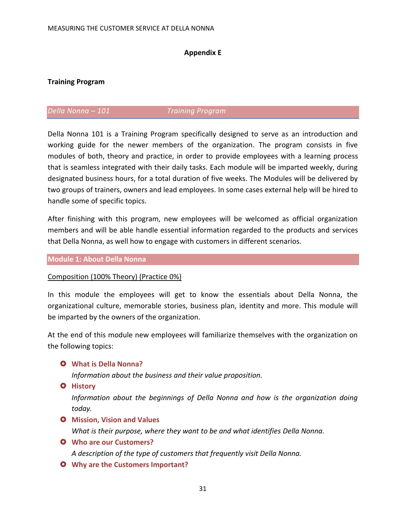# **Appendix E**

# <span id="page-31-1"></span><span id="page-31-0"></span>**Training Program**

# *Della Nonna – 101 Training Program*

Della Nonna 101 is a Training Program specifically designed to serve as an introduction and working guide for the newer members of the organization. The program consists in five modules of both, theory and practice, in order to provide employees with a learning process that is seamless integrated with their daily tasks. Each module will be imparted weekly, during designated business hours, for a total duration of five weeks. The Modules will be delivered by two groups of trainers, owners and lead employees. In some cases external help will be hired to handle some of specific topics.

After finishing with this program, new employees will be welcomed as official organization members and will be able handle essential information regarded to the products and services that Della Nonna, as well how to engage with customers in different scenarios.

### **Module 1: About Della Nonna**

### Composition (100% Theory) (Practice 0%)

In this module the employees will get to know the essentials about Della Nonna, the organizational culture, memorable stories, business plan, identity and more. This module will be imparted by the owners of the organization.

At the end of this module new employees will familiarize themselves with the organization on the following topics:

### **What is Della Nonna?**

*Information about the business and their value proposition.*

**O** History

*Information about the beginnings of Della Nonna and how is the organization doing today.*

# **O** Mission, Vision and Values

*What is their purpose, where they want to be and what identifies Della Nonna.*

- **Who are our Customers?** *A description of the type of customers that frequently visit Della Nonna.*
- **Why are the Customers Important?**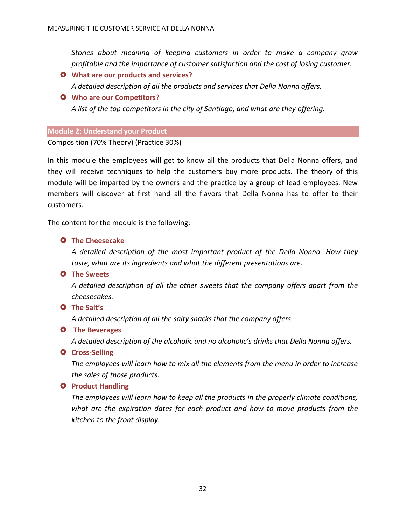*Stories about meaning of keeping customers in order to make a company grow profitable and the importance of customer satisfaction and the cost of losing customer.*

 **What are our products and services?** *A detailed description of all the products and services that Della Nonna offers.*

# **Who are our Competitors?**

*A list of the top competitors in the city of Santiago, and what are they offering.* 

# **Module 2: Understand your Product**

Composition (70% Theory) (Practice 30%)

In this module the employees will get to know all the products that Della Nonna offers, and they will receive techniques to help the customers buy more products. The theory of this module will be imparted by the owners and the practice by a group of lead employees. New members will discover at first hand all the flavors that Della Nonna has to offer to their customers.

The content for the module is the following:

# **O** The Cheesecake

*A detailed description of the most important product of the Della Nonna. How they taste, what are its ingredients and what the different presentations are.*

# **O** The Sweets

*A detailed description of all the other sweets that the company offers apart from the cheesecakes.*

# **The Salt's**

*A detailed description of all the salty snacks that the company offers.* 

# **O** The Beverages

*A detailed description of the alcoholic and no alcoholic's drinks that Della Nonna offers.*

# **Q** Cross-Selling

*The employees will learn how to mix all the elements from the menu in order to increase the sales of those products.*

# **Q** Product Handling

*The employees will learn how to keep all the products in the properly climate conditions, what are the expiration dates for each product and how to move products from the kitchen to the front display.*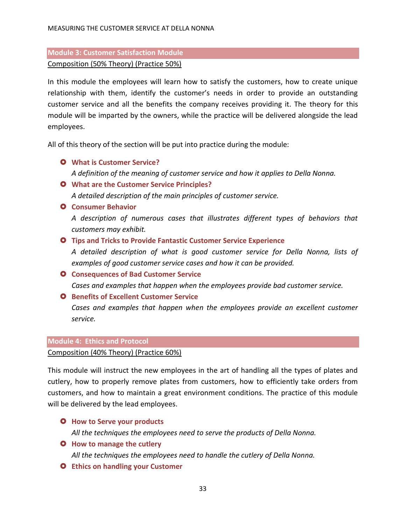# **Module 3: Customer Satisfaction Module**  Composition (50% Theory) (Practice 50%)

In this module the employees will learn how to satisfy the customers, how to create unique relationship with them, identify the customer's needs in order to provide an outstanding customer service and all the benefits the company receives providing it. The theory for this module will be imparted by the owners, while the practice will be delivered alongside the lead employees.

All of this theory of the section will be put into practice during the module:

- **What is Customer Service?** *A definition of the meaning of customer service and how it applies to Della Nonna.*
- **What are the Customer Service Principles?** *A detailed description of the main principles of customer service.*
- **Consumer Behavior**

*A description of numerous cases that illustrates different types of behaviors that customers may exhibit.* 

**Tips and Tricks to Provide Fantastic Customer Service Experience**

*A detailed description of what is good customer service for Della Nonna, lists of examples of good customer service cases and how it can be provided.*

- **O** Consequences of Bad Customer Service *Cases and examples that happen when the employees provide bad customer service.*
- **O** Benefits of Excellent Customer Service

*Cases and examples that happen when the employees provide an excellent customer service.*

# **Module 4: Ethics and Protocol**

# Composition (40% Theory) (Practice 60%)

This module will instruct the new employees in the art of handling all the types of plates and cutlery, how to properly remove plates from customers, how to efficiently take orders from customers, and how to maintain a great environment conditions. The practice of this module will be delivered by the lead employees.

- **O** How to Serve your products *All the techniques the employees need to serve the products of Della Nonna.*
- **O** How to manage the cutlery *All the techniques the employees need to handle the cutlery of Della Nonna.*
- **Ethics on handling your Customer**